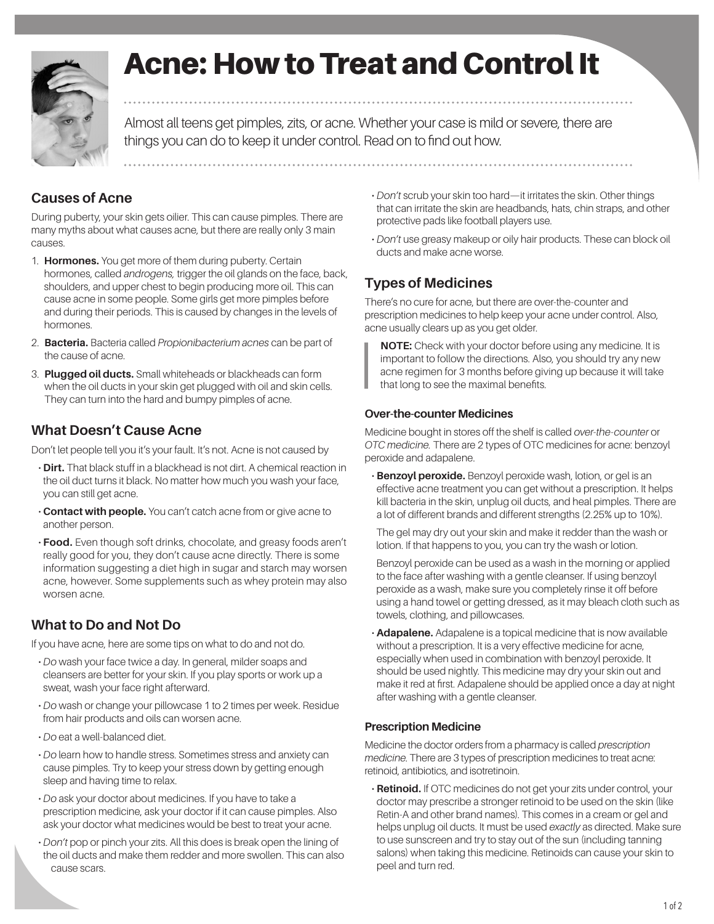

# Acne: How to Treat and Control It

Almost all teens get pimples, zits, or acne. Whether your case is mild or severe, there are things you can do to keep it under control. Read on to find out how.

### **Causes of Acne**

During puberty, your skin gets oilier. This can cause pimples. There are many myths about what causes acne, but there are really only 3 main causes.

- 1. **Hormones.** You get more of them during puberty. Certain hormones, called *androgens,* trigger the oil glands on the face, back, shoulders, and upper chest to begin producing more oil. This can cause acne in some people. Some girls get more pimples before and during their periods. This is caused by changes in the levels of hormones.
- 2. **Bacteria.** Bacteria called *Propionibacterium acnes* can be part of the cause of acne.
- 3. **Plugged oil ducts.** Small whiteheads or blackheads can form when the oil ducts in your skin get plugged with oil and skin cells. They can turn into the hard and bumpy pimples of acne.

#### **What Doesn't Cause Acne**

Don't let people tell you it's your fault. It's not. Acne is not caused by

- **Dirt.** That black stuff in a blackhead is not dirt. A chemical reaction in the oil duct turns it black. No matter how much you wash your face, you can still get acne.
- **Contact with people.** You can't catch acne from or give acne to another person.
- **Food.** Even though soft drinks, chocolate, and greasy foods aren't really good for you, they don't cause acne directly. There is some information suggesting a diet high in sugar and starch may worsen acne, however. Some supplements such as whey protein may also worsen acne.

## **What to Do and Not Do**

If you have acne, here are some tips on what to do and not do.

- *Do* wash your face twice a day. In general, milder soaps and cleansers are better for your skin. If you play sports or work up a sweat, wash your face right afterward.
- *Do* wash or change your pillowcase 1 to 2 times per week. Residue from hair products and oils can worsen acne.
- *Do* eat a well-balanced diet.
- *Do* learn how to handle stress. Sometimes stress and anxiety can cause pimples. Try to keep your stress down by getting enough sleep and having time to relax.
- *Do* ask your doctor about medicines. If you have to take a prescription medicine, ask your doctor if it can cause pimples. Also ask your doctor what medicines would be best to treat your acne.
- *Don't* pop or pinch your zits. All this does is break open the lining of the oil ducts and make them redder and more swollen. This can also cause scars.
- *Don't* scrub your skin too hard—it irritates the skin. Other things that can irritate the skin are headbands, hats, chin straps, and other protective pads like football players use.
- *Don't* use greasy makeup or oily hair products. These can block oil ducts and make acne worse.

# **Types of Medicines**

There's no cure for acne, but there are over-the-counter and prescription medicines to help keep your acne under control. Also, acne usually clears up as you get older.

**NOTE:** Check with your doctor before using any medicine. It is important to follow the directions. Also, you should try any new acne regimen for 3 months before giving up because it will take that long to see the maximal benefits.

#### **Over-the-counter Medicines**

Medicine bought in stores off the shelf is called *over-the-counter* or *OTC medicine.* There are 2 types of OTC medicines for acne: benzoyl peroxide and adapalene.

• **Benzoyl peroxide.** Benzoyl peroxide wash, lotion, or gel is an effective acne treatment you can get without a prescription. It helps kill bacteria in the skin, unplug oil ducts, and heal pimples. There are a lot of different brands and different strengths (2.25% up to 10%).

The gel may dry out your skin and make it redder than the wash or lotion. If that happens to you, you can try the wash or lotion.

Benzoyl peroxide can be used as a wash in the morning or applied to the face after washing with a gentle cleanser. If using benzoyl peroxide as a wash, make sure you completely rinse it off before using a hand towel or getting dressed, as it may bleach cloth such as towels, clothing, and pillowcases.

• **Adapalene.** Adapalene is a topical medicine that is now available without a prescription. It is a very effective medicine for acne, especially when used in combination with benzoyl peroxide. It should be used nightly. This medicine may dry your skin out and make it red at first. Adapalene should be applied once a day at night after washing with a gentle cleanser.

#### **Prescription Medicine**

Medicine the doctor orders from a pharmacy is called *prescription medicine*. There are 3 types of prescription medicines to treat acne: retinoid, antibiotics, and isotretinoin.

• **Retinoid.** If OTC medicines do not get your zits under control, your doctor may prescribe a stronger retinoid to be used on the skin (like Retin-A and other brand names). This comes in a cream or gel and helps unplug oil ducts. It must be used *exactly* as directed. Make sure to use sunscreen and try to stay out of the sun (including tanning salons) when taking this medicine. Retinoids can cause your skin to peel and turn red.